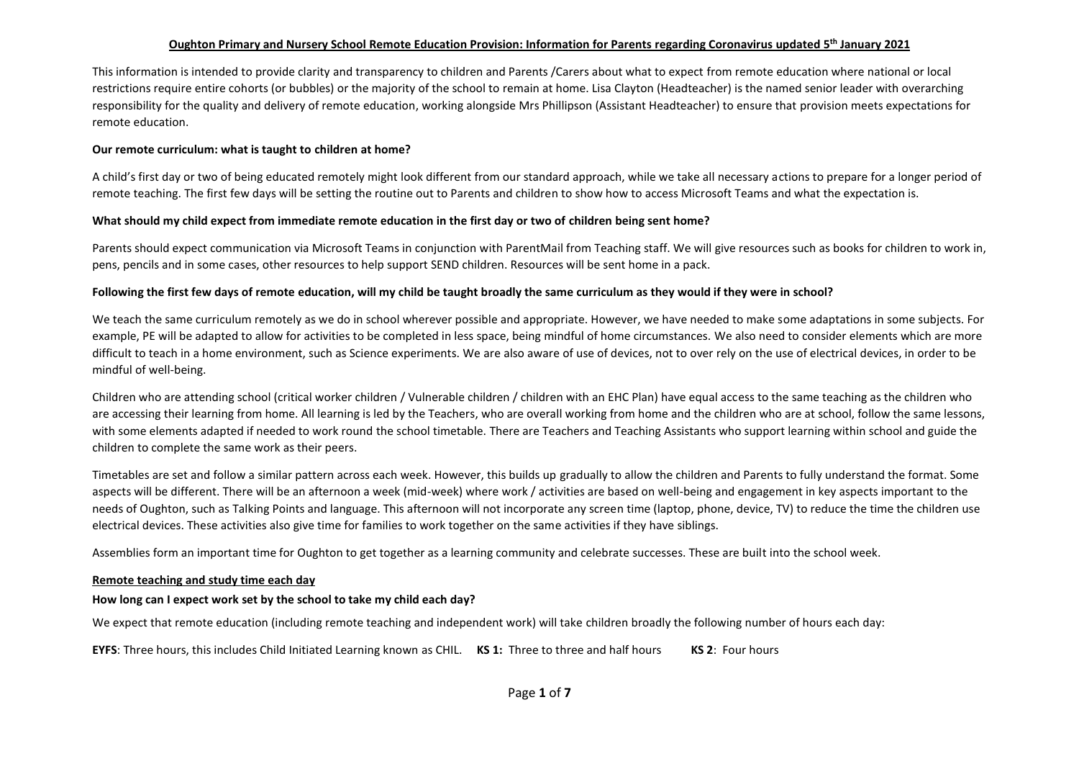## **Oughton Primary and Nursery School Remote Education Provision: Information for Parents regarding Coronavirus updated 5 th January 2021**

This information is intended to provide clarity and transparency to children and Parents /Carers about what to expect from remote education where national or local restrictions require entire cohorts (or bubbles) or the majority of the school to remain at home. Lisa Clayton (Headteacher) is the named senior leader with overarching responsibility for the quality and delivery of remote education, working alongside Mrs Phillipson (Assistant Headteacher) to ensure that provision meets expectations for remote education.

#### **Our remote curriculum: what is taught to children at home?**

A child's first day or two of being educated remotely might look different from our standard approach, while we take all necessary actions to prepare for a longer period of remote teaching. The first few days will be setting the routine out to Parents and children to show how to access Microsoft Teams and what the expectation is.

#### **What should my child expect from immediate remote education in the first day or two of children being sent home?**

Parents should expect communication via Microsoft Teams in conjunction with ParentMail from Teaching staff. We will give resources such as books for children to work in, pens, pencils and in some cases, other resources to help support SEND children. Resources will be sent home in a pack.

#### **Following the first few days of remote education, will my child be taught broadly the same curriculum as they would if they were in school?**

We teach the same curriculum remotely as we do in school wherever possible and appropriate. However, we have needed to make some adaptations in some subjects. For example, PE will be adapted to allow for activities to be completed in less space, being mindful of home circumstances. We also need to consider elements which are more difficult to teach in a home environment, such as Science experiments. We are also aware of use of devices, not to over rely on the use of electrical devices, in order to be mindful of well-being.

Children who are attending school (critical worker children / Vulnerable children / children with an EHC Plan) have equal access to the same teaching as the children who are accessing their learning from home. All learning is led by the Teachers, who are overall working from home and the children who are at school, follow the same lessons, with some elements adapted if needed to work round the school timetable. There are Teachers and Teaching Assistants who support learning within school and guide the children to complete the same work as their peers.

Timetables are set and follow a similar pattern across each week. However, this builds up gradually to allow the children and Parents to fully understand the format. Some aspects will be different. There will be an afternoon a week (mid-week) where work / activities are based on well-being and engagement in key aspects important to the needs of Oughton, such as Talking Points and language. This afternoon will not incorporate any screen time (laptop, phone, device, TV) to reduce the time the children use electrical devices. These activities also give time for families to work together on the same activities if they have siblings.

Assemblies form an important time for Oughton to get together as a learning community and celebrate successes. These are built into the school week.

#### **Remote teaching and study time each day**

#### **How long can I expect work set by the school to take my child each day?**

We expect that remote education (including remote teaching and independent work) will take children broadly the following number of hours each day:

**EYFS**: Three hours, this includes Child Initiated Learning known as CHIL. **KS 1:** Three to three and half hours **KS 2**: Four hours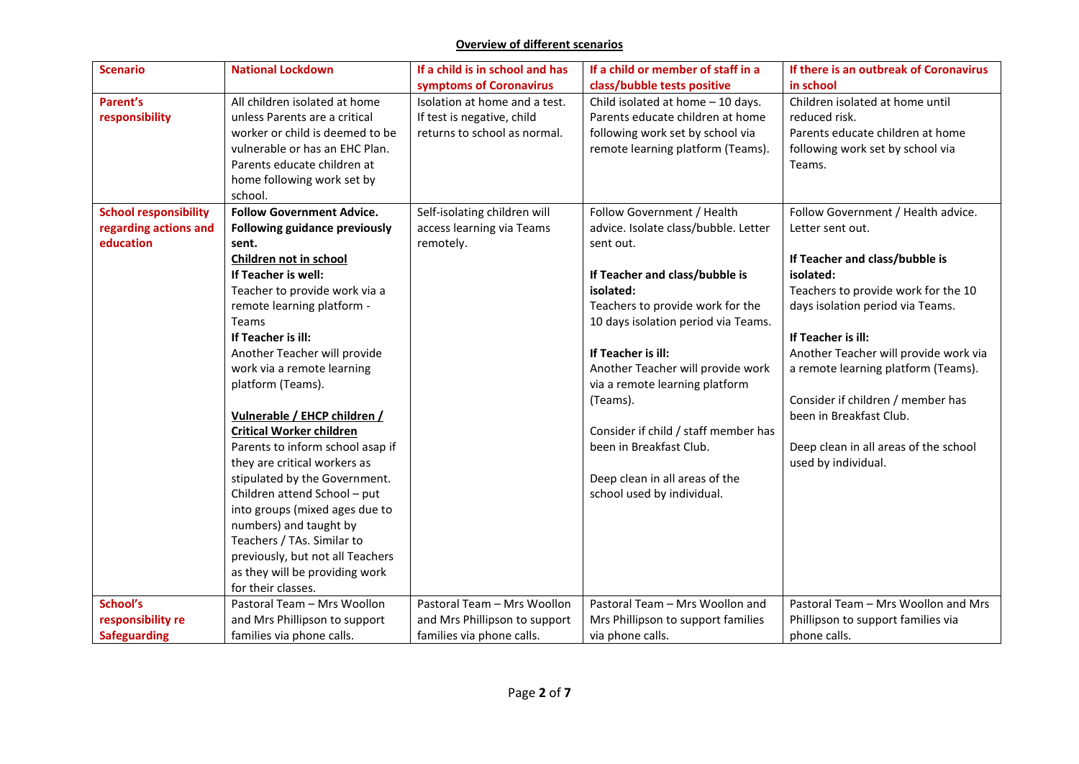## **Overview of different scenarios**

| <b>Scenario</b>              | <b>National Lockdown</b>         | If a child is in school and has | If a child or member of staff in a   | If there is an outbreak of Coronavirus |
|------------------------------|----------------------------------|---------------------------------|--------------------------------------|----------------------------------------|
|                              |                                  | symptoms of Coronavirus         | class/bubble tests positive          | in school                              |
| Parent's                     | All children isolated at home    | Isolation at home and a test.   | Child isolated at home - 10 days.    | Children isolated at home until        |
| responsibility               | unless Parents are a critical    | If test is negative, child      | Parents educate children at home     | reduced risk.                          |
|                              | worker or child is deemed to be  | returns to school as normal.    | following work set by school via     | Parents educate children at home       |
|                              | vulnerable or has an EHC Plan.   |                                 | remote learning platform (Teams).    | following work set by school via       |
|                              | Parents educate children at      |                                 |                                      | Teams.                                 |
|                              | home following work set by       |                                 |                                      |                                        |
|                              | school.                          |                                 |                                      |                                        |
| <b>School responsibility</b> | <b>Follow Government Advice.</b> | Self-isolating children will    | Follow Government / Health           | Follow Government / Health advice.     |
| regarding actions and        | Following guidance previously    | access learning via Teams       | advice. Isolate class/bubble. Letter | Letter sent out.                       |
| education                    | sent.                            | remotely.                       | sent out.                            |                                        |
|                              | Children not in school           |                                 |                                      | If Teacher and class/bubble is         |
|                              | If Teacher is well:              |                                 | If Teacher and class/bubble is       | isolated:                              |
|                              | Teacher to provide work via a    |                                 | isolated:                            | Teachers to provide work for the 10    |
|                              | remote learning platform -       |                                 | Teachers to provide work for the     | days isolation period via Teams.       |
|                              | Teams                            |                                 | 10 days isolation period via Teams.  |                                        |
|                              | If Teacher is ill:               |                                 |                                      | If Teacher is ill:                     |
|                              | Another Teacher will provide     |                                 | If Teacher is ill:                   | Another Teacher will provide work via  |
|                              | work via a remote learning       |                                 | Another Teacher will provide work    | a remote learning platform (Teams).    |
|                              | platform (Teams).                |                                 | via a remote learning platform       |                                        |
|                              |                                  |                                 | (Teams).                             | Consider if children / member has      |
|                              | Vulnerable / EHCP children /     |                                 |                                      | been in Breakfast Club.                |
|                              | <b>Critical Worker children</b>  |                                 | Consider if child / staff member has |                                        |
|                              | Parents to inform school asap if |                                 | been in Breakfast Club.              | Deep clean in all areas of the school  |
|                              | they are critical workers as     |                                 |                                      | used by individual.                    |
|                              | stipulated by the Government.    |                                 | Deep clean in all areas of the       |                                        |
|                              | Children attend School - put     |                                 | school used by individual.           |                                        |
|                              | into groups (mixed ages due to   |                                 |                                      |                                        |
|                              | numbers) and taught by           |                                 |                                      |                                        |
|                              | Teachers / TAs. Similar to       |                                 |                                      |                                        |
|                              | previously, but not all Teachers |                                 |                                      |                                        |
|                              | as they will be providing work   |                                 |                                      |                                        |
|                              | for their classes.               |                                 |                                      |                                        |
| School's                     | Pastoral Team - Mrs Woollon      | Pastoral Team - Mrs Woollon     | Pastoral Team - Mrs Woollon and      | Pastoral Team - Mrs Woollon and Mrs    |
| responsibility re            | and Mrs Phillipson to support    | and Mrs Phillipson to support   | Mrs Phillipson to support families   | Phillipson to support families via     |
| <b>Safeguarding</b>          | families via phone calls.        | families via phone calls.       | via phone calls.                     | phone calls.                           |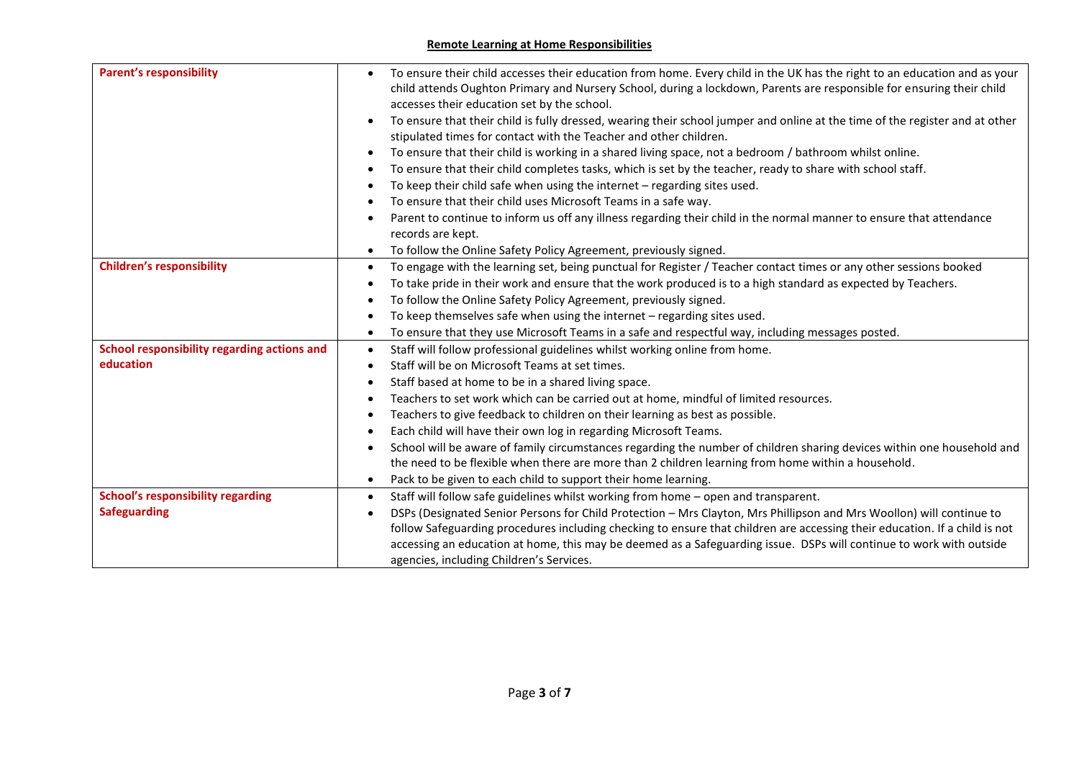## **Remote Learning at Home Responsibilities**

| <b>Parent's responsibility</b>              | To ensure their child accesses their education from home. Every child in the UK has the right to an education and as your<br>child attends Oughton Primary and Nursery School, during a lockdown, Parents are responsible for ensuring their child<br>accesses their education set by the school.<br>To ensure that their child is fully dressed, wearing their school jumper and online at the time of the register and at other |
|---------------------------------------------|-----------------------------------------------------------------------------------------------------------------------------------------------------------------------------------------------------------------------------------------------------------------------------------------------------------------------------------------------------------------------------------------------------------------------------------|
|                                             | stipulated times for contact with the Teacher and other children.                                                                                                                                                                                                                                                                                                                                                                 |
|                                             | To ensure that their child is working in a shared living space, not a bedroom / bathroom whilst online.                                                                                                                                                                                                                                                                                                                           |
|                                             | To ensure that their child completes tasks, which is set by the teacher, ready to share with school staff.                                                                                                                                                                                                                                                                                                                        |
|                                             | To keep their child safe when using the internet $-$ regarding sites used.                                                                                                                                                                                                                                                                                                                                                        |
|                                             | To ensure that their child uses Microsoft Teams in a safe way.                                                                                                                                                                                                                                                                                                                                                                    |
|                                             | Parent to continue to inform us off any illness regarding their child in the normal manner to ensure that attendance                                                                                                                                                                                                                                                                                                              |
|                                             | records are kept.                                                                                                                                                                                                                                                                                                                                                                                                                 |
|                                             | To follow the Online Safety Policy Agreement, previously signed.                                                                                                                                                                                                                                                                                                                                                                  |
| <b>Children's responsibility</b>            | To engage with the learning set, being punctual for Register / Teacher contact times or any other sessions booked<br>$\bullet$                                                                                                                                                                                                                                                                                                    |
|                                             | To take pride in their work and ensure that the work produced is to a high standard as expected by Teachers.                                                                                                                                                                                                                                                                                                                      |
|                                             | To follow the Online Safety Policy Agreement, previously signed.                                                                                                                                                                                                                                                                                                                                                                  |
|                                             | To keep themselves safe when using the internet - regarding sites used.                                                                                                                                                                                                                                                                                                                                                           |
|                                             | To ensure that they use Microsoft Teams in a safe and respectful way, including messages posted.<br>$\bullet$                                                                                                                                                                                                                                                                                                                     |
| School responsibility regarding actions and | Staff will follow professional guidelines whilst working online from home.<br>$\bullet$                                                                                                                                                                                                                                                                                                                                           |
| education                                   | Staff will be on Microsoft Teams at set times.                                                                                                                                                                                                                                                                                                                                                                                    |
|                                             | Staff based at home to be in a shared living space.                                                                                                                                                                                                                                                                                                                                                                               |
|                                             | Teachers to set work which can be carried out at home, mindful of limited resources.                                                                                                                                                                                                                                                                                                                                              |
|                                             | Teachers to give feedback to children on their learning as best as possible.                                                                                                                                                                                                                                                                                                                                                      |
|                                             | Each child will have their own log in regarding Microsoft Teams.                                                                                                                                                                                                                                                                                                                                                                  |
|                                             | School will be aware of family circumstances regarding the number of children sharing devices within one household and                                                                                                                                                                                                                                                                                                            |
|                                             | the need to be flexible when there are more than 2 children learning from home within a household.                                                                                                                                                                                                                                                                                                                                |
|                                             | Pack to be given to each child to support their home learning.                                                                                                                                                                                                                                                                                                                                                                    |
| <b>School's responsibility regarding</b>    | Staff will follow safe guidelines whilst working from home - open and transparent.<br>$\bullet$                                                                                                                                                                                                                                                                                                                                   |
| <b>Safeguarding</b>                         | DSPs (Designated Senior Persons for Child Protection - Mrs Clayton, Mrs Phillipson and Mrs Woollon) will continue to                                                                                                                                                                                                                                                                                                              |
|                                             | follow Safeguarding procedures including checking to ensure that children are accessing their education. If a child is not                                                                                                                                                                                                                                                                                                        |
|                                             | accessing an education at home, this may be deemed as a Safeguarding issue. DSPs will continue to work with outside                                                                                                                                                                                                                                                                                                               |
|                                             | agencies, including Children's Services.                                                                                                                                                                                                                                                                                                                                                                                          |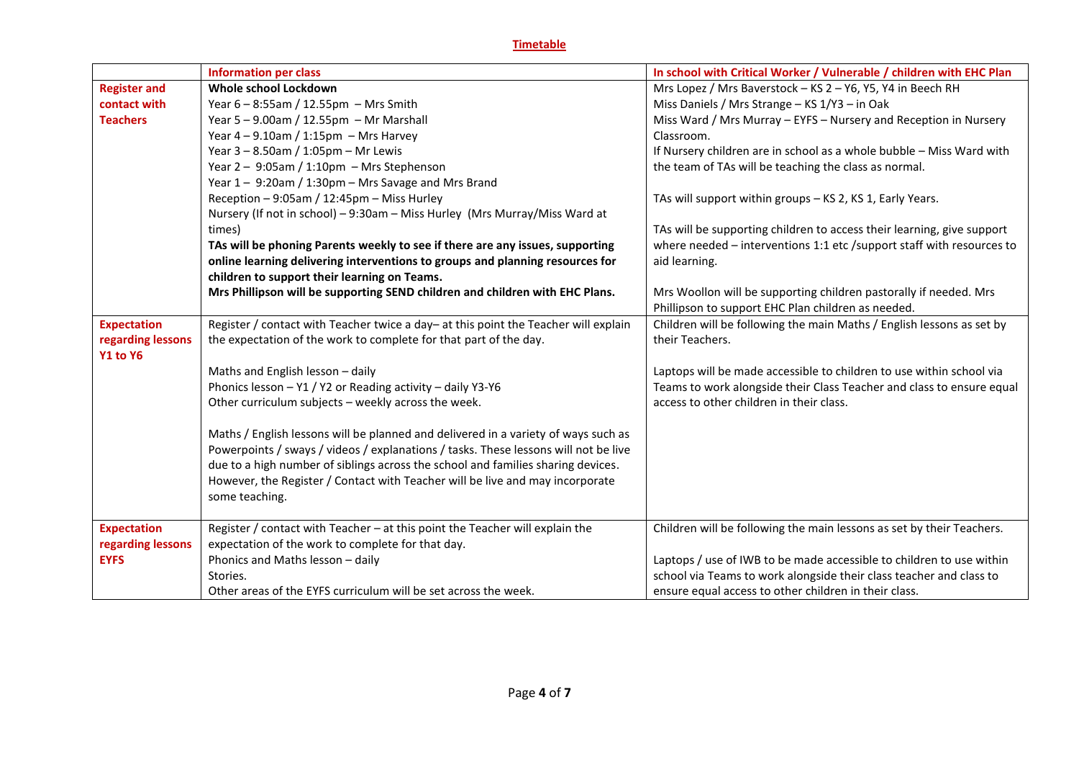# **Timetable**

|                     | <b>Information per class</b>                                                        | In school with Critical Worker / Vulnerable / children with EHC Plan   |
|---------------------|-------------------------------------------------------------------------------------|------------------------------------------------------------------------|
| <b>Register and</b> | Whole school Lockdown                                                               | Mrs Lopez / Mrs Baverstock - KS 2 - Y6, Y5, Y4 in Beech RH             |
| contact with        | Year 6 - 8:55am / 12.55pm - Mrs Smith                                               | Miss Daniels / Mrs Strange - KS 1/Y3 - in Oak                          |
| <b>Teachers</b>     | Year $5 - 9.00$ am / 12.55pm - Mr Marshall                                          | Miss Ward / Mrs Murray - EYFS - Nursery and Reception in Nursery       |
|                     | Year $4 - 9.10$ am / 1:15pm $-$ Mrs Harvey                                          | Classroom.                                                             |
|                     | Year $3 - 8.50$ am / 1:05pm - Mr Lewis                                              | If Nursery children are in school as a whole bubble - Miss Ward with   |
|                     | Year $2 - 9:05$ am / 1:10pm - Mrs Stephenson                                        | the team of TAs will be teaching the class as normal.                  |
|                     | Year 1 - 9:20am / 1:30pm - Mrs Savage and Mrs Brand                                 |                                                                        |
|                     | Reception - 9:05am / 12:45pm - Miss Hurley                                          | TAs will support within groups - KS 2, KS 1, Early Years.              |
|                     | Nursery (If not in school) - 9:30am - Miss Hurley (Mrs Murray/Miss Ward at          |                                                                        |
|                     | times)                                                                              | TAs will be supporting children to access their learning, give support |
|                     | TAs will be phoning Parents weekly to see if there are any issues, supporting       | where needed - interventions 1:1 etc /support staff with resources to  |
|                     | online learning delivering interventions to groups and planning resources for       | aid learning.                                                          |
|                     | children to support their learning on Teams.                                        |                                                                        |
|                     | Mrs Phillipson will be supporting SEND children and children with EHC Plans.        | Mrs Woollon will be supporting children pastorally if needed. Mrs      |
|                     |                                                                                     | Phillipson to support EHC Plan children as needed.                     |
| <b>Expectation</b>  | Register / contact with Teacher twice a day- at this point the Teacher will explain | Children will be following the main Maths / English lessons as set by  |
| regarding lessons   | the expectation of the work to complete for that part of the day.                   | their Teachers.                                                        |
| Y1 to Y6            |                                                                                     |                                                                        |
|                     | Maths and English lesson - daily                                                    | Laptops will be made accessible to children to use within school via   |
|                     | Phonics lesson - Y1 / Y2 or Reading activity - daily Y3-Y6                          | Teams to work alongside their Class Teacher and class to ensure equal  |
|                     | Other curriculum subjects - weekly across the week.                                 | access to other children in their class.                               |
|                     |                                                                                     |                                                                        |
|                     | Maths / English lessons will be planned and delivered in a variety of ways such as  |                                                                        |
|                     | Powerpoints / sways / videos / explanations / tasks. These lessons will not be live |                                                                        |
|                     | due to a high number of siblings across the school and families sharing devices.    |                                                                        |
|                     | However, the Register / Contact with Teacher will be live and may incorporate       |                                                                        |
|                     | some teaching.                                                                      |                                                                        |
|                     |                                                                                     |                                                                        |
| <b>Expectation</b>  | Register / contact with Teacher - at this point the Teacher will explain the        | Children will be following the main lessons as set by their Teachers.  |
| regarding lessons   | expectation of the work to complete for that day.                                   |                                                                        |
| <b>EYFS</b>         | Phonics and Maths lesson - daily                                                    | Laptops / use of IWB to be made accessible to children to use within   |
|                     | Stories.                                                                            | school via Teams to work alongside their class teacher and class to    |
|                     | Other areas of the EYFS curriculum will be set across the week.                     | ensure equal access to other children in their class.                  |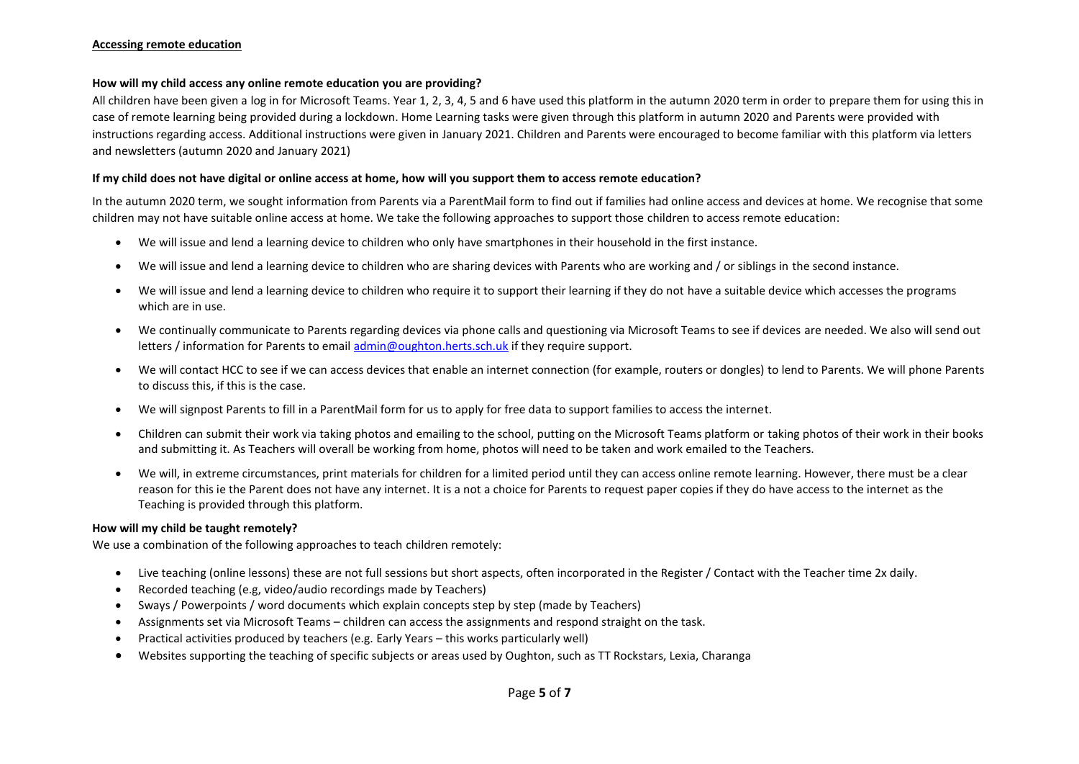#### **Accessing remote education**

#### **How will my child access any online remote education you are providing?**

All children have been given a log in for Microsoft Teams. Year 1, 2, 3, 4, 5 and 6 have used this platform in the autumn 2020 term in order to prepare them for using this in case of remote learning being provided during a lockdown. Home Learning tasks were given through this platform in autumn 2020 and Parents were provided with instructions regarding access. Additional instructions were given in January 2021. Children and Parents were encouraged to become familiar with this platform via letters and newsletters (autumn 2020 and January 2021)

#### **If my child does not have digital or online access at home, how will you support them to access remote education?**

In the autumn 2020 term, we sought information from Parents via a ParentMail form to find out if families had online access and devices at home. We recognise that some children may not have suitable online access at home. We take the following approaches to support those children to access remote education:

- We will issue and lend a learning device to children who only have smartphones in their household in the first instance.
- We will issue and lend a learning device to children who are sharing devices with Parents who are working and / or siblings in the second instance.
- We will issue and lend a learning device to children who require it to support their learning if they do not have a suitable device which accesses the programs which are in use.
- We continually communicate to Parents regarding devices via phone calls and questioning via Microsoft Teams to see if devices are needed. We also will send out letters / information for Parents to email [admin@oughton.herts.sch.uk](mailto:admin@oughton.herts.sch.uk) if they require support.
- We will contact HCC to see if we can access devices that enable an internet connection (for example, routers or dongles) to lend to Parents. We will phone Parents to discuss this, if this is the case.
- We will signpost Parents to fill in a ParentMail form for us to apply for free data to support families to access the internet.
- Children can submit their work via taking photos and emailing to the school, putting on the Microsoft Teams platform or taking photos of their work in their books and submitting it. As Teachers will overall be working from home, photos will need to be taken and work emailed to the Teachers.
- We will, in extreme circumstances, print materials for children for a limited period until they can access online remote learning. However, there must be a clear reason for this ie the Parent does not have any internet. It is a not a choice for Parents to request paper copies if they do have access to the internet as the Teaching is provided through this platform.

#### **How will my child be taught remotely?**

We use a combination of the following approaches to teach children remotely:

- Live teaching (online lessons) these are not full sessions but short aspects, often incorporated in the Register / Contact with the Teacher time 2x daily.
- Recorded teaching (e.g, video/audio recordings made by Teachers)
- Sways / Powerpoints / word documents which explain concepts step by step (made by Teachers)
- Assignments set via Microsoft Teams children can access the assignments and respond straight on the task.
- Practical activities produced by teachers (e.g. Early Years this works particularly well)
- Websites supporting the teaching of specific subjects or areas used by Oughton, such as TT Rockstars, Lexia, Charanga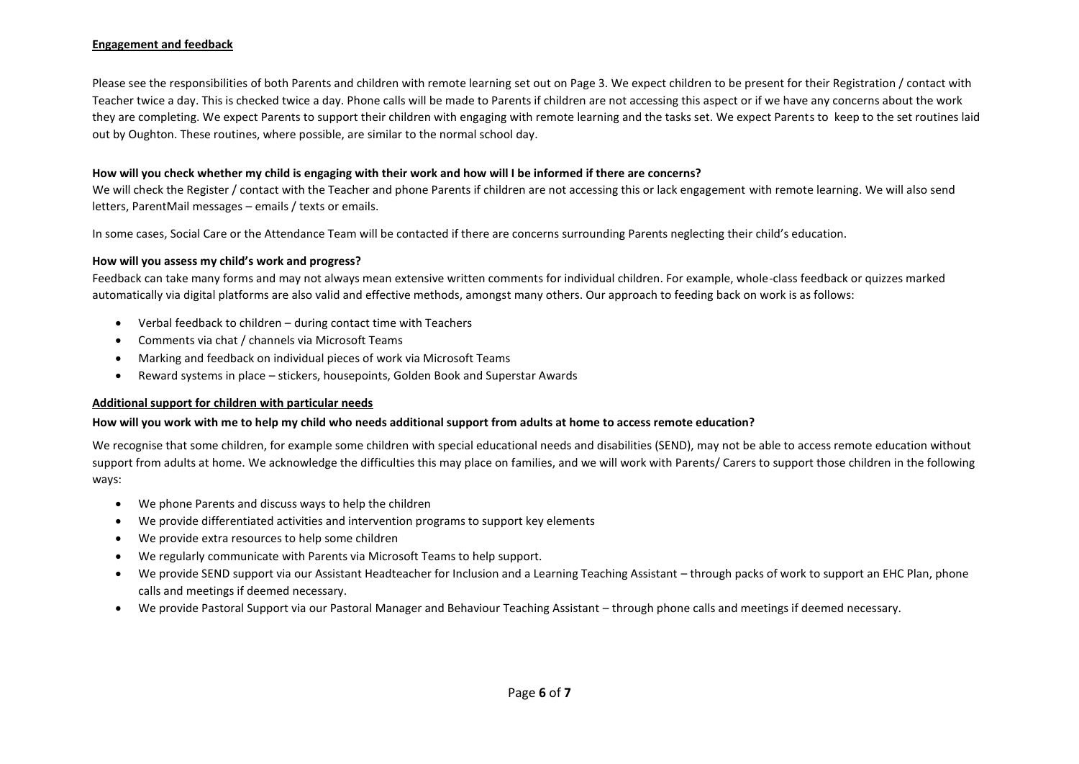## **Engagement and feedback**

Please see the responsibilities of both Parents and children with remote learning set out on Page 3. We expect children to be present for their Registration / contact with Teacher twice a day. This is checked twice a day. Phone calls will be made to Parents if children are not accessing this aspect or if we have any concerns about the work they are completing. We expect Parents to support their children with engaging with remote learning and the tasks set. We expect Parents to keep to the set routines laid out by Oughton. These routines, where possible, are similar to the normal school day.

#### **How will you check whether my child is engaging with their work and how will I be informed if there are concerns?**

We will check the Register / contact with the Teacher and phone Parents if children are not accessing this or lack engagement with remote learning. We will also send letters, ParentMail messages – emails / texts or emails.

In some cases, Social Care or the Attendance Team will be contacted if there are concerns surrounding Parents neglecting their child's education.

#### **How will you assess my child's work and progress?**

Feedback can take many forms and may not always mean extensive written comments for individual children. For example, whole-class feedback or quizzes marked automatically via digital platforms are also valid and effective methods, amongst many others. Our approach to feeding back on work is as follows:

- Verbal feedback to children during contact time with Teachers
- Comments via chat / channels via Microsoft Teams
- Marking and feedback on individual pieces of work via Microsoft Teams
- Reward systems in place stickers, housepoints, Golden Book and Superstar Awards

#### **Additional support for children with particular needs**

## **How will you work with me to help my child who needs additional support from adults at home to access remote education?**

We recognise that some children, for example some children with special educational needs and disabilities (SEND), may not be able to access remote education without support from adults at home. We acknowledge the difficulties this may place on families, and we will work with Parents/ Carers to support those children in the following ways:

- We phone Parents and discuss ways to help the children
- We provide differentiated activities and intervention programs to support key elements
- We provide extra resources to help some children
- We regularly communicate with Parents via Microsoft Teams to help support.
- We provide SEND support via our Assistant Headteacher for Inclusion and a Learning Teaching Assistant through packs of work to support an EHC Plan, phone calls and meetings if deemed necessary.
- We provide Pastoral Support via our Pastoral Manager and Behaviour Teaching Assistant through phone calls and meetings if deemed necessary.